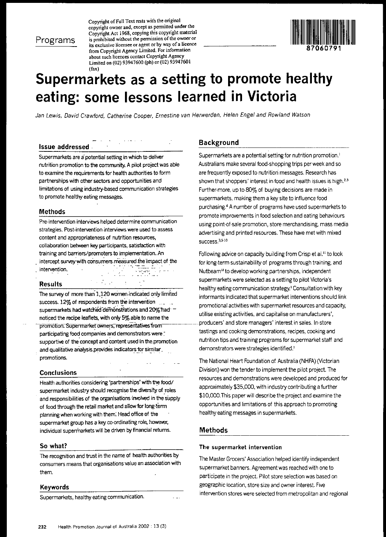**Copyright** of Full **Text rests with the original copyright owner and, except as pennitted under the** Copyright Act 1968, copying this copyright material Programs is prohibited without the permission of the owner or<br>its exclusive licensee or agent or by way of a licence from Copyright Agency Limited. For information **about such licences contact Copyright Agency** Limited on (02) 93947600 (ph) or (02) 93947601 (fax)



# **Supermarkets as a setting to promote healthy eating: some lessons learned in Victoria**

Jan Lewis, David Crawford, Catherine Cooper, Ernestine van Herwerden, Helen Engel and Rowland Watson

# **Issue addressed**

Supermarkets are a potential setting in which to deliver nutrition promotion to the community. Apilot project was able to examine the requirements for health authorities to form partnerships with other sectors and opportunities and **limitations of using industry-based communication strategies** to promote healthy eating messages,

# **Methods**

**Pre·intervention interviews helped determine communication strategies. Post-intervention interviews were used to assess content and appropriateness of nutrition resources,** collaberation between key participants, satisiaction with training and barriers/promoters to implementation. An intercept survey with consumers measured. the impact of the collaboration between key participants, satisfaction with<br>training and barriers/promoters to implementation. An<br>intercept survey with consumers measured the impact of t<br>intervention.

# **Results**

The survey of more than 1,120 women indicated only limited success.  $12\%$  of respondents from the intervention  $\sim$ supermarkets had watched demonstrations and 20% had noticed the recipe leaflets, with only 5% able to name the promotion. Supermarket owners, representatives from participating food companies and demonstrators were: supportive of the concept and content used 'in the;promotion and **qualitative** analysis.provides indicators for similar. **promotions\_**

### **Conclusions**

Health authorities considering 'partnerships' with the food/ supermarket industry should recognise the diversity of roles and responsibilities of the organisations involved in the suppiy of food through the retail market and allow for long-term planning when working with them: Head office of the supermarket group has a key co-ordinating role, however, individual supermarkets will be driven by financial returns.

### **So what?**

The recognition and trust in the name of health authorities by **consumers means that organisations value an association with** them.

### **Keywords**

**Supermarkets, healthy eating communication.**

# **Background**

Supermarkets are a potential setting for nutrition promotion.<sup>1</sup> Australians make several food-shopping trips per week and so are frequently exposed to nutrition messages. Research has shown that shoppers' interest in food and health issues is high.<sup>2,3</sup> Further·more, up to 80% of buying decisions are made in supermarkets, making them a key site to influence food purchasing.<sup>4</sup> A number of programs have used supermarkets to promote improvements in food selection and eating behaviours using point-of-sale promotion, store merchandising, mass media advertising and printed resources. These have met with mixed **success.3,S.lO**

Following advice on capacity building from Crisp et ai." to look for iong-term sustainability of programs through training, and Nutbeam<sup>12</sup> to develop working partnerships, independent supermarkets were selected as a setting to pilot Victoria's healthy eating communication strategy.' Consultation with key informants indicated that supermarket interventions should link promotional activities with supermarket resources and capacity, utilise existing activities, and capitalise on manufacturers', producers' and store managers' interest in sales. In-store tastings and cooking demonstrations, recipes, cooking and nutrition tips and training programs for supermarket staff and demonstrators were strategies identified.'

The National Heart Foundation of Australia (NHFA) (Victorian Division) won the tender to implement the pilot project. The resources and demonstrations were developed and produced for approximately \$35,000, with industry contributing afurther \$10,000.This paper will describe the project and examine the opportunities and limitations of this approach to promoting healthy eating messages in supermarkets.

# **Methods**

#### The supermarket intervention

The Master Grocers' Association helped identify independent supermarket banners. Agreement was reached with one to participate in the project. Pilot store selection was based on geographic iocation, store size and owner interest. Five intervention stores were selected from metropolitan and regional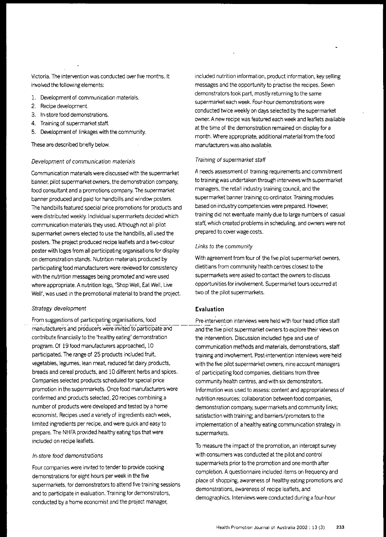Victoria. The intervention was conducted over five months. It involved the following elements:

- 1. Development of communication materials.
- 2. Recipe development.
- 3. In·store food demonstrations.
- 4. Training of supermarket staff.
- 5. Development of linkages with the community.

These are described briefly below.

#### Development of communication materials

**Communication materials were discussed with the supermarket** banner, pilot supermarket owners, the demonstration company, food consultant and a promotions company. The supermarket banner produced and paid for handbills and window posters. The handbills featured special price promotions for products and were distributed weekly. Individual supermarkets decided which communication materials they used. Although not all pilot supermarket owners elected to use the handbills, all used the posters. The project produced recipe leaflets and atwo·colour poster with logos from all participating organisations for display on demonstration stands. Nutrition materials produced by participating food manufacturers were reviewed for consistency with the nutrition messages being promoted and were used where appropriate. Anutrition logo, 'Shop Well, Eat Well, Live Well', was used in the promotional material to brand the project.

### Strategy development example of the Evaluation Evaluation

From suggestions of participating organisations, food Pre-intervention interviews were held with four head office staff manufacturers and producers were invited to participate and<br>and the five pilot supermarket owners to explore their views on contribute financially to the 'healthy eating' demonstration the intervention. Discussion included type and use of program. Of 19 food manufacturers approached, 10 communication methods and materials, demonstrations, staff vegetables, legumes, lean meat, reduced fat dairy products, with the five pilot supermarket owners, nine account managers breads and cereal products, and 10 different herbs and spices. of participating food companies, dietitians from three Companies selected products scheduled for special price community health centres, and with six demonstrators. confirmed and products selected, 20 recipes combining a nutrition resources; collaboration between food companies, number of products were developed and tested by a home demonstration company, supermarkets and community links; economist. Recipes used a variety of ingredients each week, satisfaction with training; and barriers/promoters to the limited ingredients per recipe, and were quick and easy to implementation of a healthy eating communication strategy in prepare. The NHFA provided healthy eating tips that were supermarkets. included on recipe leaflets.

### In·store food demonstrations

Four companies were invited to tender to provide cooking demonstrations for eight hours per week in the five supermarkets, for demonstrators to attend five training sessions and to participate in evaluation. Training for demonstrators, conducted by a home economist and the project manager,

included nutrition information, product information, key selling messages and the opportunity to practise the recipes. Seven demonstrators took part, mostly returning to the same **supermarket each week. Four-hour demonstrations were** conducted twice weekly on days selected by the supermarket owner. Anew recipe was featured each week and leaflets available at the time of the demonstration remained on display for a month. Where appropriate, additional material from the food manufacturers was also available.

### Training of supermarket staff

Aneeds assessment of training requirements and commitment to training was undertaken through interviews with supermarket managers, the retail industry training council, and the supermarket banner training co-ordinator. Training modules based on industry competencies were prepared. However, **training did not eventuate mainly due to large numbers of casual** staff, which created problems in scheduling, and owners were not prepared to cover wage costs.

#### Links to the community

With agreement from four of the five pilot supermarket owners, dietitians from community health centres closest to the supermarkets were asked to contact the owners to discuss opportunities for involvement. Supermarket tours occurred at two of the pilot supermarkets.

participated. The range of 25 products included fruit, the straining and involvement. Post-intervention interviews were held promotion in the supermarkets. Once food manufacturers were Information was used to assess: content and appropriateness of

> To measure the impact of the promotion, an intercept survey with consumers was conducted at the pilot and control supermarkets prior to the promotion and one month after completion. Aquestionnaire included items on frequency and place of shopping, awareness of healthy eating promotions and demonstrations, awareness of recipe leaflets, and demographics. Interviews were conducted during afour·hour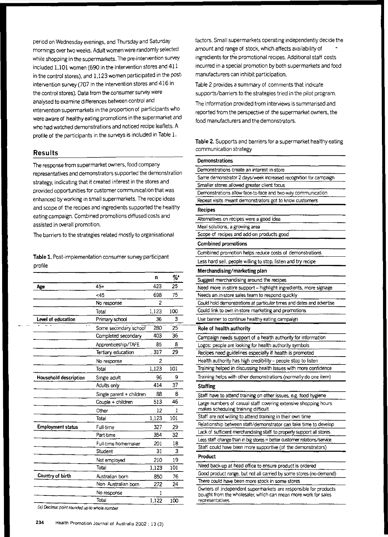period on Wednesday evenings, and Thursday and Saturday mornings over two weeks. Adult women were randomly selected while shopping in the supermarkets. The pre-intervention survey included 1,101 women (690 in the intervention stores and 411 in the control stores), and 1,123 women participated in the postintervention survey (707 in the intervention stores and 416 in the control stores), Data from the consumer survey were analysed to examine differences between control and intervention supermarkets in the proportion of participants who were aware of healthy eating promotions in the supermarket and who had watched demonstrations and noticed recipe leaflets, A profile of the participants in the surveys is included in Table 1.

# **Results**

The response from supermarket owners, food company representatives and demonstrators supported the demonstration strategy, indicating that it created interest in the stores and provided opportunities for customer communication that was enhanced by working in small supermarkets. The recipe ideas and scope of the recipes and ingredients supported the healthy eating campaign. Combined promotions diffused costs and assisted in overall promotion,

The barriers to the strategies related mostly to organisational

# Table 1. Post-implementation consumer survey participant profile

|                              |                          | n      | $\%$ |
|------------------------------|--------------------------|--------|------|
| Age                          | $45 +$                   | 423    | 25   |
|                              | ~15                      | 698    | 75   |
|                              | No response              | 2      |      |
|                              | Total                    | 1,123  | 100  |
| Level of education           | Primary school           | 36     | 3    |
|                              | Some secondary school    | 280    | 25   |
|                              | Completed secondary      | 403    | 36   |
|                              | Apprenticeship/TAFE      | 85     | 8    |
|                              | Tertiary education       | $-317$ | 29   |
|                              | No response              | 2      |      |
|                              | Total                    | 1,123  | 101  |
| <b>Household description</b> | Single adult             | 96     | 9    |
|                              | Adults only              | 414    | 37   |
|                              | Single parent + children | 88     | 8    |
|                              | Couple + children        | 513    | 46   |
|                              | Other                    | 12     | 1    |
|                              | Total                    | 1,123  | 101  |
| <b>Employment status</b>     | Full time                | 327    | 29   |
|                              | Part-time                | 354    | 32   |
|                              | Full-time homemaker      | 201    | 18   |
|                              | Student                  | 31     | 3    |
|                              | Not employed             | 210    | 19   |
|                              | Total                    | 1,123  | 101  |
| Country of birth             | Australian born          | 850    | 76   |
|                              | Non-Australian born      | 272    | 24   |
|                              | No response              | 1      |      |
|                              | Total                    | 1,122  | 100  |

**(a) Decimal point rounded up to whole number**

factors. Small supermarkets operating independently decide the amount and range of stock, which affects availability of ingredients for the promotional recipes. Additional staff costs incurred in a special promotion by both supermarkets and food manufacturers can inhibit participation.

Table 2 provides a summary of comments that indicate supports/barriers to the strategies tried in the pilot program.

The information provided from interviews is summarised and reported from the perspective of the supermarket owners, the food manufacturers and the demonstrators.

Table 2. Supports and barriers for a supermarket healthy eating **communication strategy**

| <b>Demonstrations</b>                                                                                                                                |  |  |  |
|------------------------------------------------------------------------------------------------------------------------------------------------------|--|--|--|
| Demonstrations create an interest in store                                                                                                           |  |  |  |
| Same demonstrator 2 days/week increased recognition for campaign                                                                                     |  |  |  |
| Smaller stores allowed greater client focus                                                                                                          |  |  |  |
| Demonstrations allow face-to-face and two-way communication                                                                                          |  |  |  |
| Repeat visits meant demonstrators got to know customers                                                                                              |  |  |  |
| <b>Recipes</b>                                                                                                                                       |  |  |  |
| Alternatives on recipes were a good idea                                                                                                             |  |  |  |
| Meal solutions, a growing area                                                                                                                       |  |  |  |
| Scope of recipes and add-on products good                                                                                                            |  |  |  |
| <b>Combined promotions</b>                                                                                                                           |  |  |  |
| Combined promotion helps reduce costs of demonstrations                                                                                              |  |  |  |
| Less hard sell, people willing to stop, listen and try recipe                                                                                        |  |  |  |
| Merchandising/marketing plan                                                                                                                         |  |  |  |
| Suggest merchandising around the recipes                                                                                                             |  |  |  |
| Need more in store support – hignlight ingredients, more signage                                                                                     |  |  |  |
| Needs an in-store sales team to respond quickly                                                                                                      |  |  |  |
| Could hold demonstrations at particular times and dates and advertise                                                                                |  |  |  |
| Could link to own in store marketing and promotions                                                                                                  |  |  |  |
| Use banner to continue healthy eating campaign                                                                                                       |  |  |  |
| Role of health authority                                                                                                                             |  |  |  |
| Campaign needs support of a health authority for information                                                                                         |  |  |  |
| Logos: people are looking for health authority symbols                                                                                               |  |  |  |
| Recipes need guidelines especially if health is promoted                                                                                             |  |  |  |
| Health authority has high credibility - people stop to listen                                                                                        |  |  |  |
| Training helped in discussing health issues with more confidence                                                                                     |  |  |  |
| Training helps with other demonstrations (normally do one item)                                                                                      |  |  |  |
| <b>Staffing</b>                                                                                                                                      |  |  |  |
| Staff have to attend training on other issues, e.g. food hygiene                                                                                     |  |  |  |
| Large numbers of casual staff covering extensive shopping hours<br>makes scheduling training difficult                                               |  |  |  |
| Staff are not willing to attend training in their own time                                                                                           |  |  |  |
| Relationship between staff/demonstrator can take time to develop                                                                                     |  |  |  |
| Lack of sufficient merchandising staff to properly support all stores                                                                                |  |  |  |
| Less staff change than in big stores = better customer relations/service                                                                             |  |  |  |
| Staff could have been more supportive (of the demonstrators)                                                                                         |  |  |  |
| <b>Product</b>                                                                                                                                       |  |  |  |
| Need back-up at head office to ensure product is ordered                                                                                             |  |  |  |
| Good product range, but not all carried by some stores (no demand)                                                                                   |  |  |  |
| There could have been more stock in some stores                                                                                                      |  |  |  |
| Owners of independent supermarkets are responsible for products<br>bought from the wholesaler, which can mean more work for sales<br>representatives |  |  |  |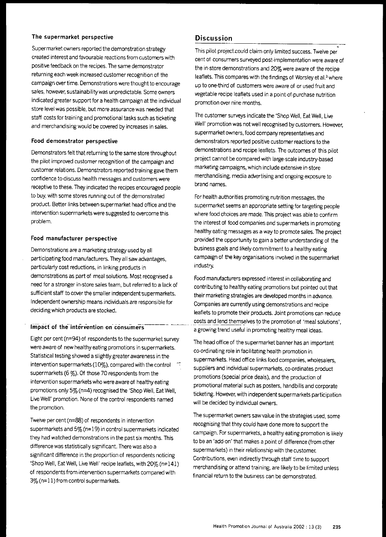# **The supermarket perspective**

Supermarket owners reported the demonstration strategy **created interest and favourable reactions from customers with** positive feedback on the recipes. The same demonstrator returning each week increased customer recognition of the campaign over time. Demonstrations were thought to encourage sales, however, sustainability was unpredictable. Some owners indicated greater support for a health campaign at the individual store level was possible, but more assurance was needed that staff costs for training and promotional tasks such as ticketing and merchandising would be covered by increases in sales.

# **Food demonstrator perspective**

Demonstrators felt that returning to the same store throughout the pilot improved customer recognition of the campaign and customer relations. Demonstrators reported training gave them **confidence to discuss health messages and customers were** receptive to these. They indicated the recipes encouraged people to buy, with some stores running out of the demonstrated product. Better links between supermarket head office and the intervention supermarkets were suggested to overcome this problem.

# **Food manufacturer perspective**

Demonstrations are a marketing strategy used by all participating food manufacturers. They all saw advantages, particularly cost reductions, in linking products in demonstrations as part of meal solutions. Most recognised a need for a stronger in·store sales team, but referred to a lack of sufficient staff to cover the smaller independent supermarkets. Independent ownership means individuals are responsible for decidingwhich products are stocked.

Eight per cent (n=94) of respondents to the supermarket survey The head office of the supermarket banner has an important were aware of new healthy eating promotions in supermarkets.<br>Co-ordinating role in facilitating health promotion in<br>Statistical testing showed a slightly greater awareness in the<br>Supermarkets Head office links feed componi Statistical testing showed a slightly greater awareness in the supermarkets. Head office links food companies, wholesalers, intervention supermarkets (10%), compared with the control intervention supermarkets (10%), compared with the control suppliers and individual supermarkets, co-ordinates product<br>Supermarkets (6 %). Of those 70 respondents from the supermarkets for and the supermarkets (6 %). Of th supermarkets (0 %). Or those 70 respondents from the promotions (special price deals), and the production of intervention supermarkets who were aware of healthy eating promotions only 5% (n=4) recognised the 'Shop Well, Eat Well, ticketing. However, with independent supermarkets participation Live Well' promotion. None of the control respondents named will be decided by individual owners. the promotion.

Twelve per cent (n=88) of respondents in intervention recognising that they could have done more to support the they had watched demonstrations in the past six months. This to be an 'add-on' that makes a point of difference (from other difference was statistically significant. There was also a significant difference in the proportion of respondents noticing Contributions, even indirectly through staff time to support 'Shop Well, Eat Well, Live Well' recipe leaflets, with 20% (n=141) merchandising or attend training, are likely to be limited unless of respondents from intervention supermarkets compared with 3% (n=11) from control supermarkets.

# **Discussion**

This pilot project.could claim only limited success. Twelve per cent of consumers surveyed post·implementation were aware of the in·store demonstrations and 20% were aware of the recipe leaflets. This compares with the findings of Worsley et al.<sup>3</sup> where up to one·third of customers were aware of or used fruit and vegetable recipe leaflets used in a point·of·purchase nutrition **promotion over nine months.**

The customer surveys indicate the 'Shop Well, Eat Well, Live Well' promotion was not well recognised by customers. However, supermarket owners, food company representatives and demonstrators reported positive customer reactions to the demonstrations and recipe leaflets. The outcomes of this pilot project cannot be compared with large·scale industry-based marketing campaigns, which include extensive in·store merchandising, media advertising and ongoing exposure to brand names.

For health authorities promoting nutrition messages, the supermarket seems an appropriate setting for targeting people where food choices are made. This project was able to confirm the interest of food companies and supermarkets in promoting healthy eating messages as a way to promote sales. The project provided the opportunity to gain a better understanding of the business gcals and likely commitment to a healthy eating campaign of the key organisations involved in the supermarket industry.

Food manufacturers expressed interest in collaborating and contributing to healthy eating promotions but pointed out that their marketing strategies are developed months in advance. Companies are currently using demonstrations and recipe leaflets to promote their products. Joint promotions can reduce ..co.sts ancjJend the.':!!s!'lves to the promotion of 'meal solutions', **Impacf of** the intervention **on** consumers------ --- agrowing trend useful in promoting healthy meal ideas.

promotional material such as posters, handbills and corporate

The supermarket owners saw value in the strategies used, some supermarkets and 5% (n=19) in control supermarkets indicated campaign. For supermarkets, a healthy eating promotion is likely<br>they had watched demonstrations in the past six months. This supermarkets) in their relationship with the customer. financial return to the business can be demonstrated.